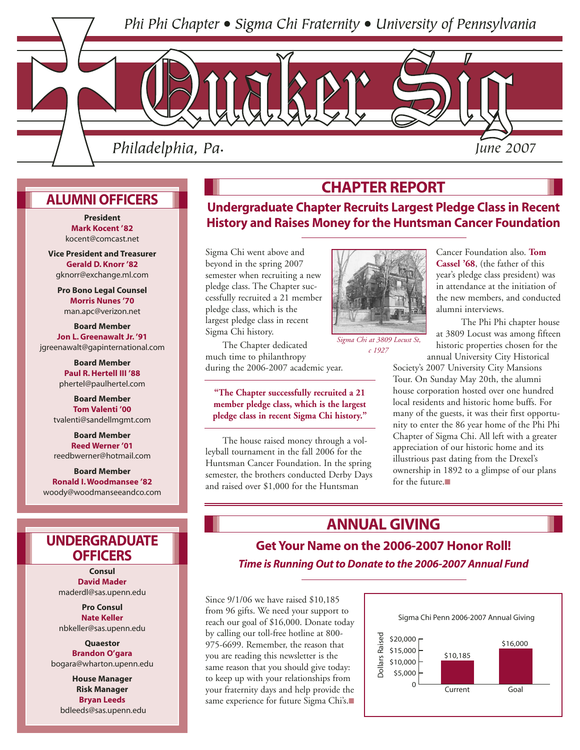Phi Phi Chapter • Sigma Chi Fraternity • University of Pennsylvania



## **ALUMNI OFFICERS**

**Mark Kocent '82**  kocent@comcast.net

**Vice President and Treasurer Gerald D. Knorr '82** gknorr@exchange.ml.com

**Pro Bono Legal Counsel Morris Nunes '70** man.apc@verizon.net

**Board Member Jon L. Greenawalt Jr. '91** jgreenawalt@gapinternational.com

> **Board Member Paul R. Hertell III '88** phertel@paulhertel.com

**Board Member Tom Valenti '00** tvalenti@sandellmgmt.com

**Board Member Reed Werner '01** reedbwerner@hotmail.com

**Board Member Ronald I. Woodmansee '82** woody@woodmanseeandco.com

## **UNDERGRADUATE OFFICERS**

**Consul David Mader** maderdl@sas.upenn.edu

**Pro Consul Nate Keller** nbkeller@sas.upenn.edu

**Quaestor Brandon O'gara** bogara@wharton.upenn.edu

**House Manager Risk Manager Bryan Leeds** bdleeds@sas.upenn.edu

## **CHAPTER REPORT**

**Undergraduate Chapter Recruits Largest Pledge Class in Recent History and Raises Money for the Huntsman Cancer Foundation** 

> Sigma Chi went above and beyond in the spring 2007 semester when recruiting a new pledge class. The Chapter successfully recruited a 21 member pledge class, which is the largest pledge class in recent Sigma Chi history.

The Chapter dedicated much time to philanthropy during the 2006-2007 academic year.

## **"The Chapter successfully recruited a 21 member pledge class, which is the largest pledge class in recent Sigma Chi history."**

The house raised money through a volleyball tournament in the fall 2006 for the Huntsman Cancer Foundation. In the spring semester, the brothers conducted Derby Days and raised over \$1,000 for the Huntsman



*Sigma Chi at 3809 Locust St, c 1927*

Cancer Foundation also. **Tom Cassel '68**, (the father of this year's pledge class president) was in attendance at the initiation of the new members, and conducted alumni interviews.

The Phi Phi chapter house at 3809 Locust was among fifteen historic properties chosen for the annual University City Historical

Society's 2007 University City Mansions Tour. On Sunday May 20th, the alumni house corporation hosted over one hundred local residents and historic home buffs. For many of the guests, it was their first opportunity to enter the 86 year home of the Phi Phi Chapter of Sigma Chi. All left with a greater appreciation of our historic home and its illustrious past dating from the Drexel's ownership in 1892 to a glimpse of our plans for the future.■

## **ANNUAL GIVING**

## **Get Your Name on the 2006-2007 Honor Roll!** *Time is Running Out to Donate to the 2006-2007 Annual Fund*

Since 9/1/06 we have raised \$10,185 from 96 gifts. We need your support to reach our goal of \$16,000. Donate today by calling our toll-free hotline at 800- 975-6699. Remember, the reason that you are reading this newsletter is the same reason that you should give today: to keep up with your relationships from your fraternity days and help provide the same experience for future Sigma Chi's.■

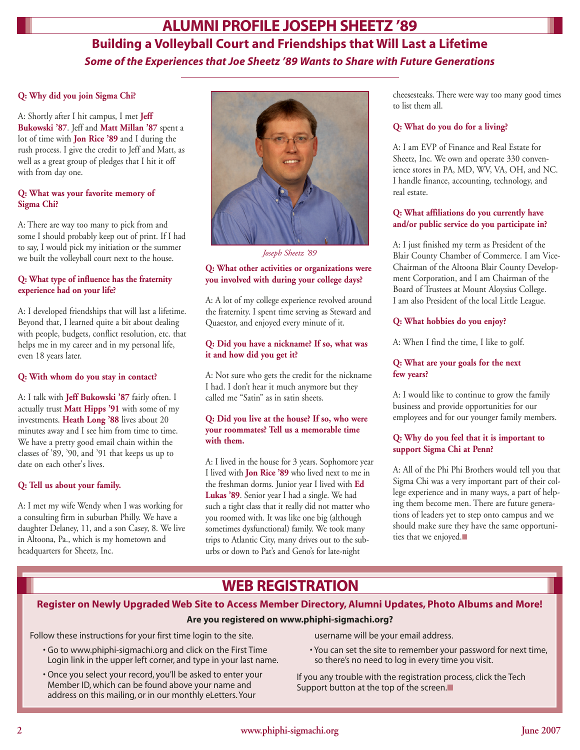## **Building a Volleyball Court and Friendships that Will Last a Lifetime** *Some of the Experiences that Joe Sheetz '89 Wants to Share with Future Generations* **ALUMNI PROFILE JOSEPH SHEETZ '89**

#### **Q: Why did you join Sigma Chi?**

A: Shortly after I hit campus, I met **Jeff Bukowski '87**. Jeff and **Matt Millan '87** spent a lot of time with **Jon Rice '89** and I during the rush process. I give the credit to Jeff and Matt, as well as a great group of pledges that I hit it off with from day one.

## **Q: What was your favorite memory of Sigma Chi?**

A: There are way too many to pick from and some I should probably keep out of print. If I had to say, I would pick my initiation or the summer we built the volleyball court next to the house.

## **Q: What type of influence has the fraternity experience had on your life?**

A: I developed friendships that will last a lifetime. Beyond that, I learned quite a bit about dealing with people, budgets, conflict resolution, etc. that helps me in my career and in my personal life, even 18 years later.

#### **Q: With whom do you stay in contact?**

A: I talk with **Jeff Bukowski '87** fairly often. I actually trust **Matt Hipps '91** with some of my investments. **Heath Long '88** lives about 20 minutes away and I see him from time to time. We have a pretty good email chain within the classes of '89, '90, and '91 that keeps us up to date on each other's lives.

## **Q: Tell us about your family.**

A: I met my wife Wendy when I was working for a consulting firm in suburban Philly. We have a daughter Delaney, 11, and a son Casey, 8. We live in Altoona, Pa., which is my hometown and headquarters for Sheetz, Inc.



*Joseph Sheetz '89*

#### **Q: What other activities or organizations were you involved with during your college days?**

A: A lot of my college experience revolved around the fraternity. I spent time serving as Steward and Quaestor, and enjoyed every minute of it.

## **Q: Did you have a nickname? If so, what was it and how did you get it?**

A: Not sure who gets the credit for the nickname I had. I don't hear it much anymore but they called me "Satin" as in satin sheets.

## **Q: Did you live at the house? If so, who were your roommates? Tell us a memorable time with them.**

A: I lived in the house for 3 years. Sophomore year I lived with **Jon Rice '89** who lived next to me in the freshman dorms. Junior year I lived with **Ed Lukas '89**. Senior year I had a single. We had such a tight class that it really did not matter who you roomed with. It was like one big (although sometimes dysfunctional) family. We took many trips to Atlantic City, many drives out to the suburbs or down to Pat's and Geno's for late-night

cheesesteaks. There were way too many good times to list them all.

#### **Q: What do you do for a living?**

A: I am EVP of Finance and Real Estate for Sheetz, Inc. We own and operate 330 convenience stores in PA, MD, WV, VA, OH, and NC. I handle finance, accounting, technology, and real estate.

## **Q: What affiliations do you currently have and/or public service do you participate in?**

A: I just finished my term as President of the Blair County Chamber of Commerce. I am Vice-Chairman of the Altoona Blair County Development Corporation, and I am Chairman of the Board of Trustees at Mount Aloysius College. I am also President of the local Little League.

## **Q: What hobbies do you enjoy?**

A: When I find the time, I like to golf.

## **Q: What are your goals for the next few years?**

A: I would like to continue to grow the family business and provide opportunities for our employees and for our younger family members.

## **Q: Why do you feel that it is important to support Sigma Chi at Penn?**

A: All of the Phi Phi Brothers would tell you that Sigma Chi was a very important part of their college experience and in many ways, a part of helping them become men. There are future generations of leaders yet to step onto campus and we should make sure they have the same opportunities that we enjoyed.■

## **WEB REGISTRATION**

## **Register on Newly Upgraded Web Site to Access Member Directory, Alumni Updates, Photo Albums and More!**

## **Are you registered on www.phiphi-sigmachi.org?**

Follow these instructions for your first time login to the site.

- Go to www.phiphi-sigmachi.org and click on the First Time Login link in the upper left corner, and type in your last name.
- Once you select your record, you'll be asked to enter your Member ID, which can be found above your name and address on this mailing, or in our monthly eLetters. Your

username will be your email address.

• You can set the site to remember your password for next time, so there's no need to log in every time you visit.

If you any trouble with the registration process, click the Tech Support button at the top of the screen.■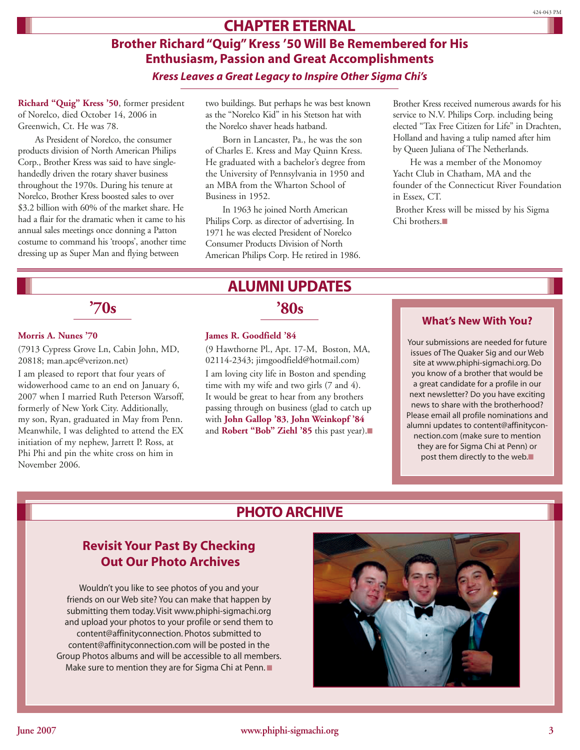## **CHAPTER ETERNAL**

## **Brother Richard "Quig" Kress '50 Will Be Remembered for His Enthusiasm, Passion and Great Accomplishments** *Kress Leaves a Great Legacy to Inspire Other Sigma Chi's*

**Richard "Quig" Kress '50**, former president of Norelco, died October 14, 2006 in Greenwich, Ct. He was 78.

As President of Norelco, the consumer products division of North American Philips Corp., Brother Kress was said to have singlehandedly driven the rotary shaver business throughout the 1970s. During his tenure at Norelco, Brother Kress boosted sales to over \$3.2 billion with 60% of the market share. He had a flair for the dramatic when it came to his annual sales meetings once donning a Patton costume to command his 'troops', another time dressing up as Super Man and flying between

two buildings. But perhaps he was best known as the "Norelco Kid" in his Stetson hat with the Norelco shaver heads hatband.

Born in Lancaster, Pa., he was the son of Charles E. Kress and May Quinn Kress. He graduated with a bachelor's degree from the University of Pennsylvania in 1950 and an MBA from the Wharton School of Business in 1952.

In 1963 he joined North American Philips Corp. as director of advertising. In 1971 he was elected President of Norelco Consumer Products Division of North American Philips Corp. He retired in 1986. Brother Kress received numerous awards for his service to N.V. Philips Corp. including being elected "Tax Free Citizen for Life" in Drachten, Holland and having a tulip named after him by Queen Juliana of The Netherlands.

He was a member of the Monomoy Yacht Club in Chatham, MA and the founder of the Connecticut River Foundation in Essex, CT.

Brother Kress will be missed by his Sigma Chi brothers.■

# **'70s '80s**

## **Morris A. Nunes '70**

(7913 Cypress Grove Ln, Cabin John, MD, 20818; man.apc@verizon.net)

I am pleased to report that four years of widowerhood came to an end on January 6, 2007 when I married Ruth Peterson Warsoff, formerly of New York City. Additionally, my son, Ryan, graduated in May from Penn. Meanwhile, I was delighted to attend the EX initiation of my nephew, Jarrett P. Ross, at Phi Phi and pin the white cross on him in November 2006.

# **ALUMNI UPDATES**

## **James R. Goodfield '84**

(9 Hawthorne Pl., Apt. 17-M, Boston, MA, 02114-2343; jimgoodfield@hotmail.com) I am loving city life in Boston and spending time with my wife and two girls (7 and 4). It would be great to hear from any brothers passing through on business (glad to catch up with **John Gallop '83**, **John Weinkopf '84** and **Robert "Bob" Ziehl '85** this past year).■

## **What's New With You?**

Your submissions are needed for future issues of The Quaker Sig and our Web site at www.phiphi-sigmachi.org. Do you know of a brother that would be a great candidate for a profile in our next newsletter? Do you have exciting news to share with the brotherhood? Please email all profile nominations and alumni updates to content@affinityconnection.com (make sure to mention they are for Sigma Chi at Penn) or post them directly to the web.■

## **PHOTO ARCHIVE**

## **Revisit Your Past By Checking Out Our Photo Archives**

Wouldn't you like to see photos of you and your friends on our Web site? You can make that happen by submitting them today. Visit www.phiphi-sigmachi.org and upload your photos to your profile or send them to content@affinityconnection. Photos submitted to content@affinityconnection.com will be posted in the Group Photos albums and will be accessible to all members. Make sure to mention they are for Sigma Chi at Penn. ■